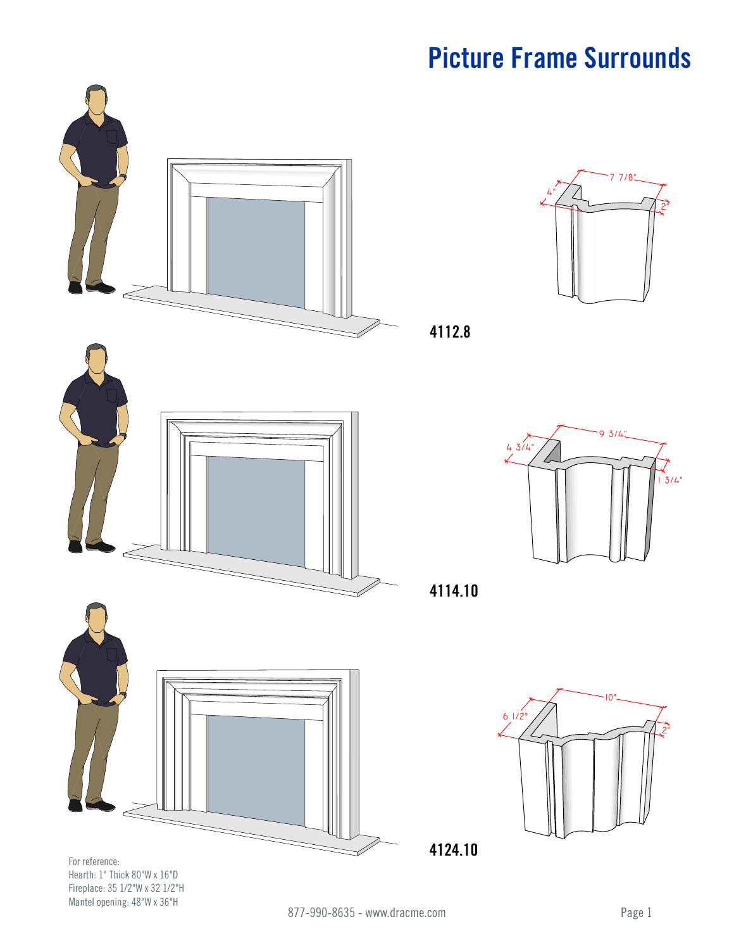

For reference: Hearth: 1" Thick 80"W x 16"D Fireplace: 35 1/2"W x 32 1/2"H Mantel opening: 48"W x 36"H



**4112.8**



**4114.10**



**4124.10**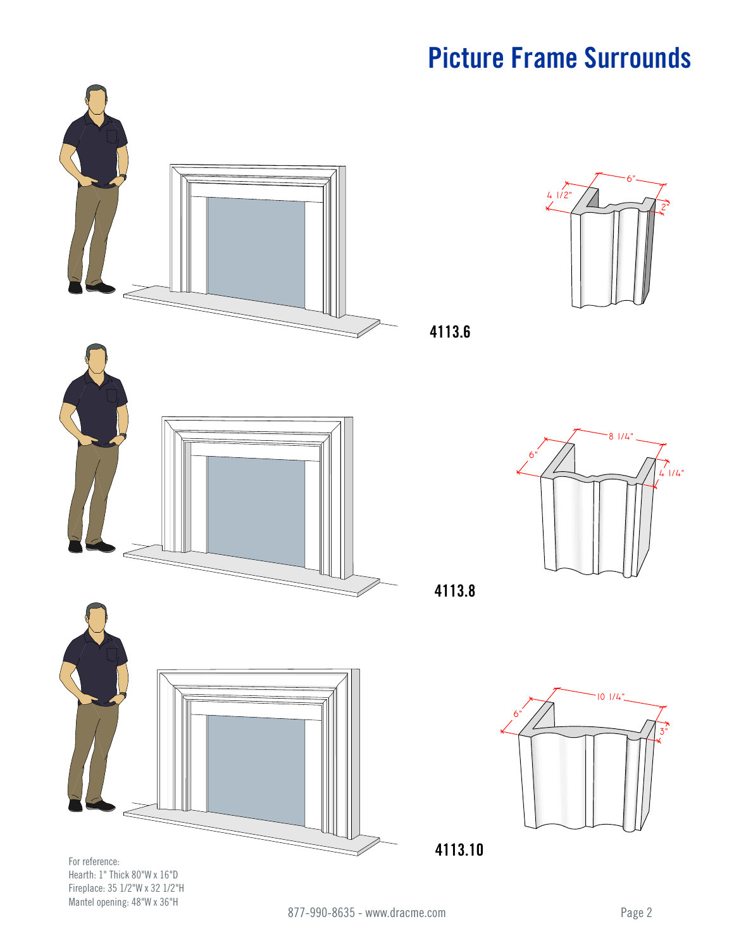

Hearth: 1" Thick 80"W x 16"D Fireplace: 35 1/2"W x 32 1/2"H Mantel opening: 48"W x 36"H

81/4"

 $\uparrow$  4 1/4"

2"

6"

3"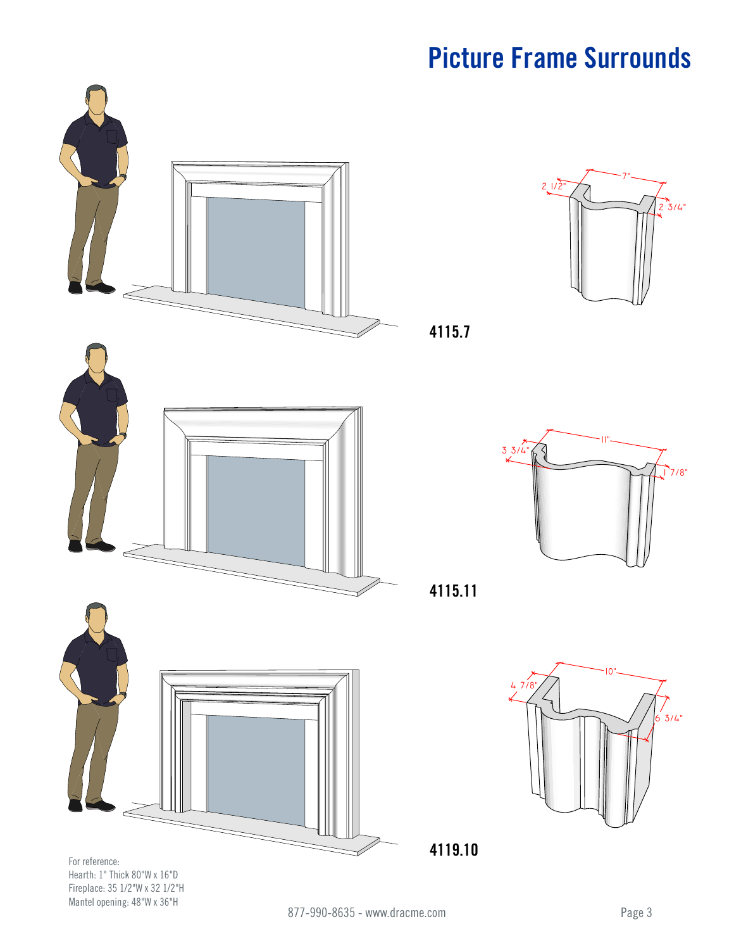

For reference: Hearth: 1" Thick 80"W x 16"D Fireplace: 35 1/2"W x 32 1/2"H Mantel opening: 48"W x 36"H



**4115.7**



**4115.11**



**4119.10**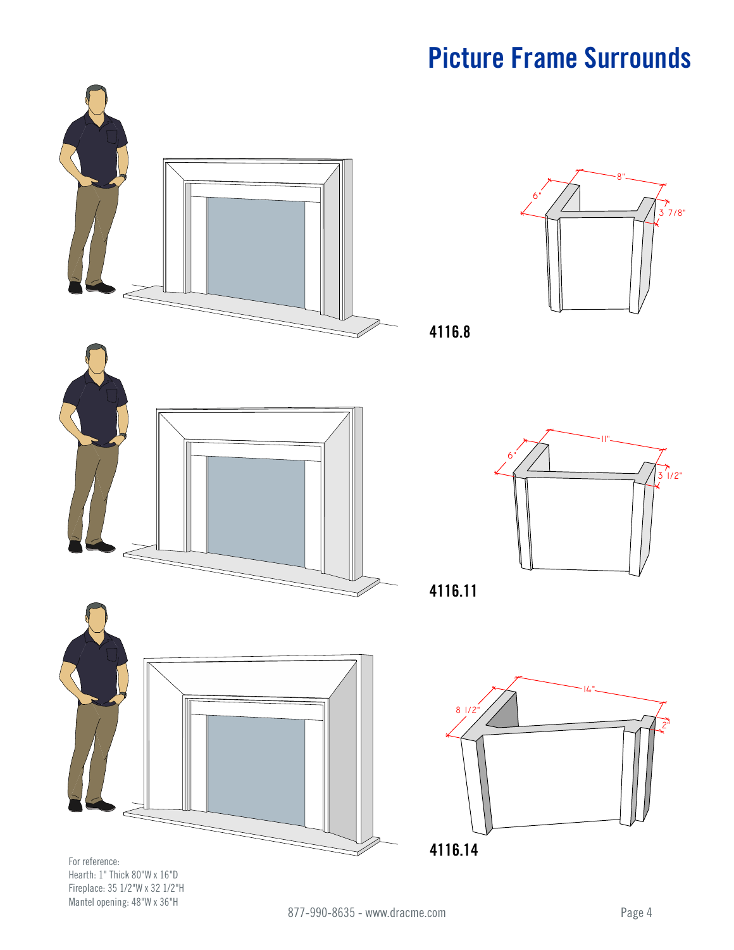



**4116.8**



**4116.11**



Hearth: 1" Thick 80"W x 16"D Fireplace: 35 1/2"W x 32 1/2"H Mantel opening: 48"W x 36"H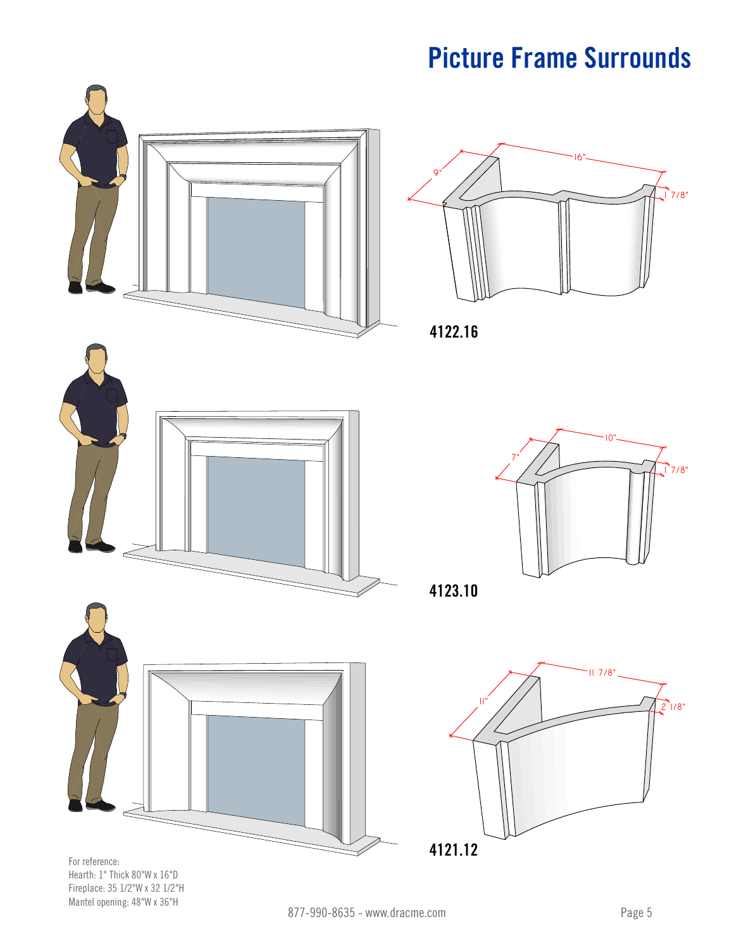

Fireplace: 35 1/2"W x 32 1/2"H Mantel opening: 48"W x 36"H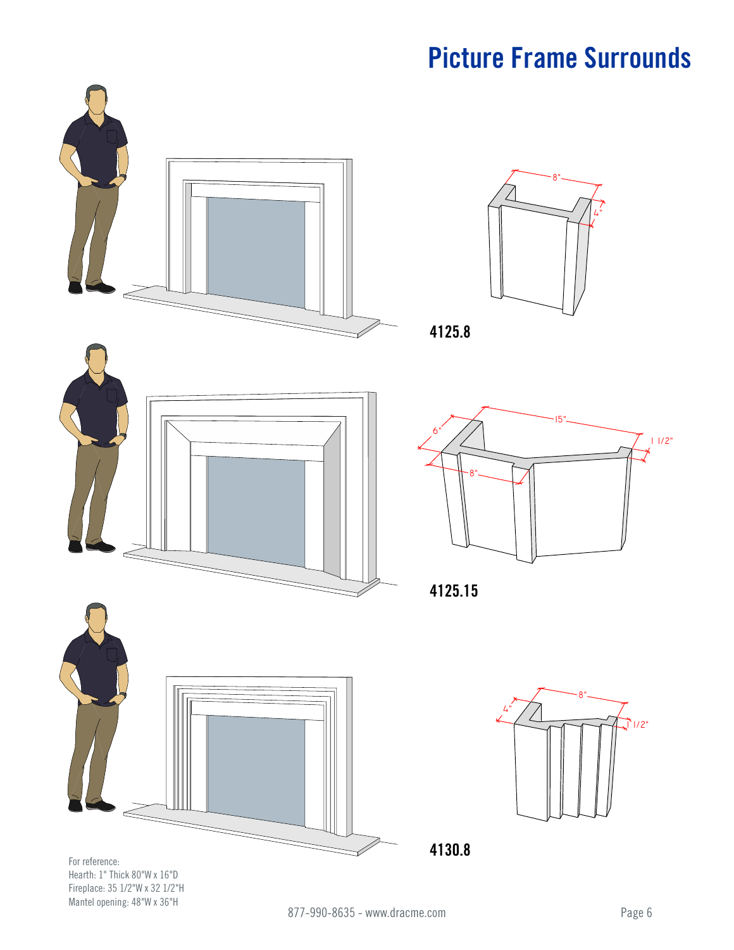8"

15"

4"



Hearth: 1" Thick 80"W x 16"D Fireplace: 35 1/2"W x 32 1/2"H Mantel opening: 48"W x 36"H

 $1/2"$ 

 $11/2"$ 

8"

4"

8"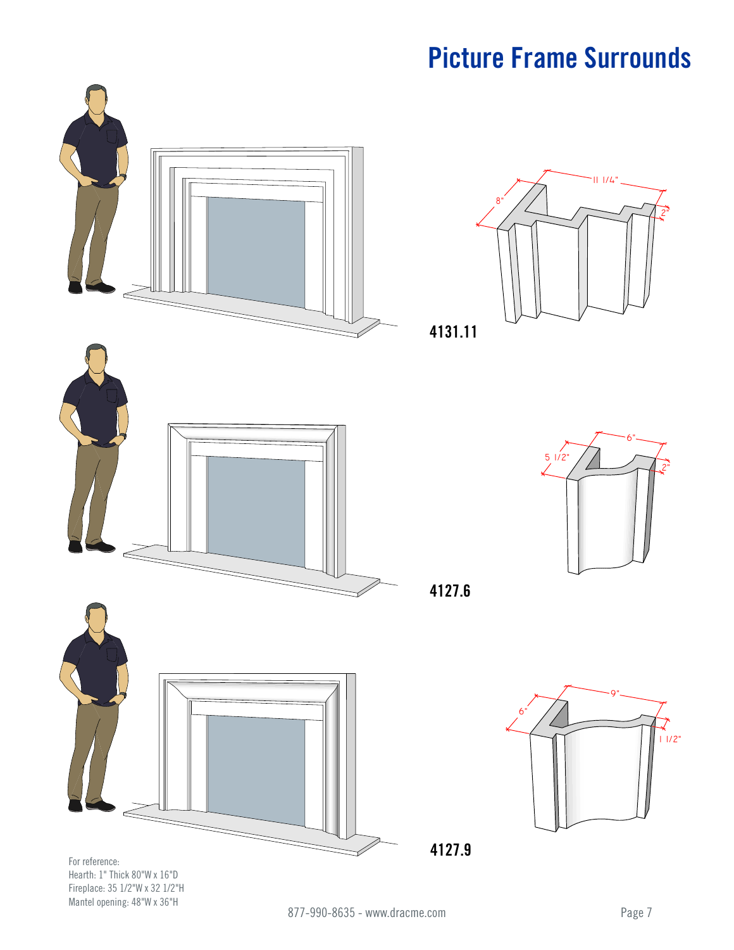8"



Hearth: 1" Thick 80"W x 16"D Fireplace: 35 1/2"W x 32 1/2"H Mantel opening: 48"W x 36"H



111/4"

2"

**4127.6**

**4131.11**



**4127.9**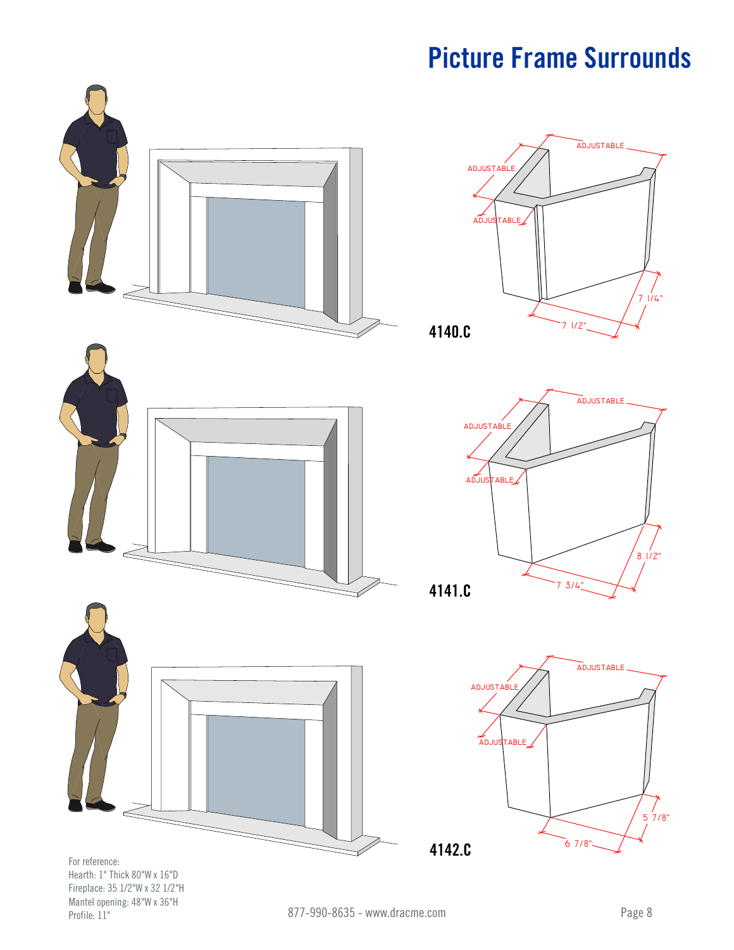